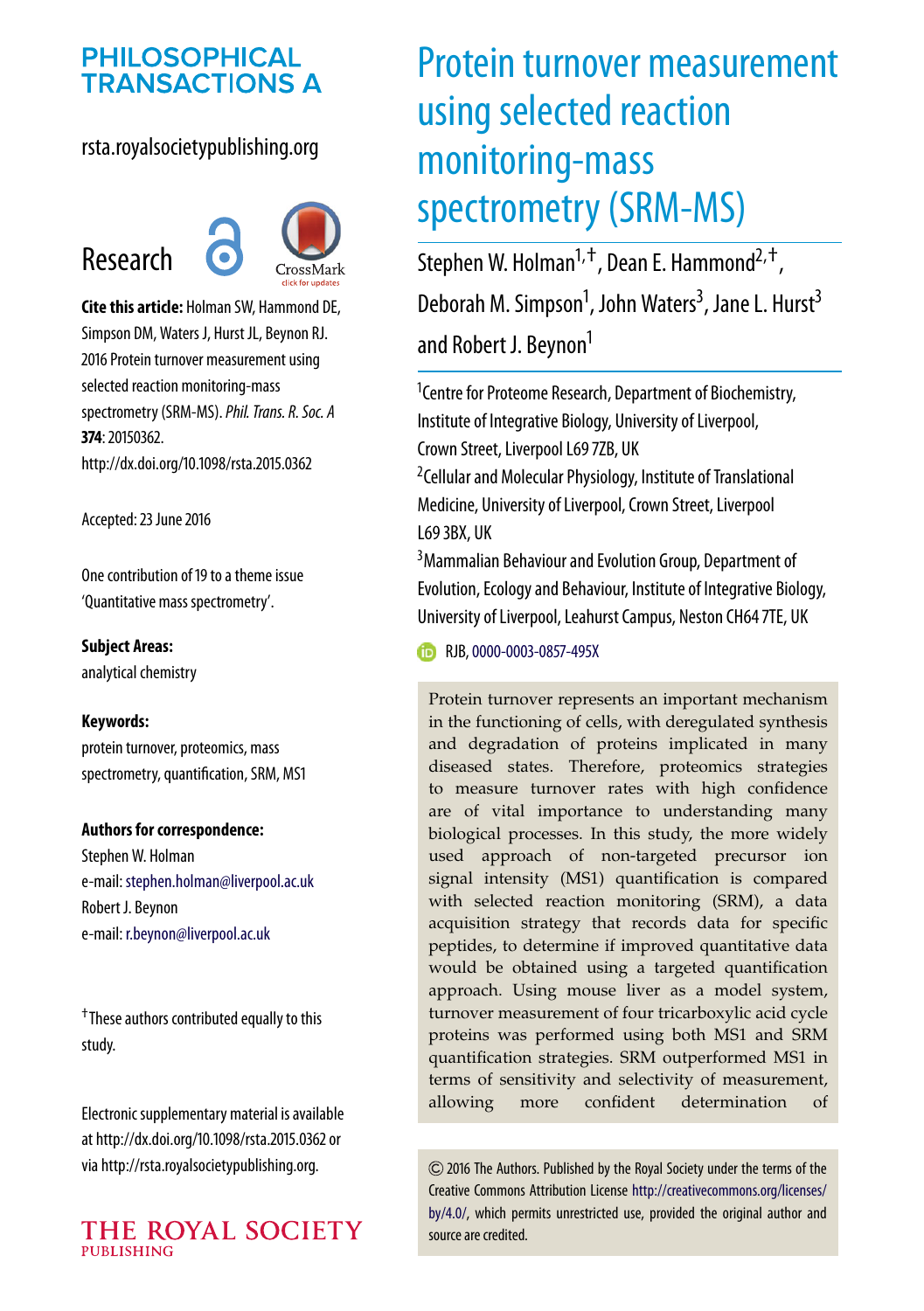## **PHILOSOPHICAL TRANSACTIONS A**

## rsta.royalsocietypublishing.org





**Cite this article:** Holman SW, Hammond DE, Simpson DM, Waters J, Hurst JL, Beynon RJ. 2016 Protein turnover measurement using selected reaction monitoring-mass spectrometry (SRM-MS).*Phil. Trans. R. Soc. A* **374**: 20150362. http://dx.doi.org/10.1098/rsta.2015.0362

Accepted: 23 June 2016

One contribution of 19 to a theme issue ['Quantitative mass spectrometry'.](http://dx.doi.org/10.1098/rsta/374/2079)

**Subject Areas:** analytical chemistry

#### **Keywords:**

protein turnover, proteomics, mass spectrometry, quantification, SRM, MS1

#### **Authors for correspondence:**

Stephen W. Holman e-mail: [stephen.holman@liverpool.ac.uk](mailto:stephen.holman@liverpool.ac.uk) Robert J. Beynon e-mail: [r.beynon@liverpool.ac.uk](mailto:r.beynon@liverpool.ac.uk)

†These authors contributed equally to this study.

Electronic supplementary material is available at http://dx.doi.org/10.1098/rsta.2015.0362 or via http://rsta.royalsocietypublishing.org.



# Protein turnover measurement using selected reaction monitoring-mass spectrometry (SRM-MS)

Stephen W. Holman<sup>1, †</sup>, Dean E. Hammond<sup>2, †</sup>, Deborah M. Simpson<sup>1</sup>, John Waters<sup>3</sup>, Jane L. Hurst<sup>3</sup> and Robert J. Beynon<sup>1</sup>

<sup>1</sup> Centre for Proteome Research, Department of Biochemistry, Institute of Integrative Biology, University of Liverpool, Crown Street, Liverpool L69 7ZB, UK 2 Cellular and Molecular Physiology, Institute of Translational Medicine, University of Liverpool, Crown Street, Liverpool

L69 3BX, UK

<sup>3</sup> Mammalian Behaviour and Evolution Group, Department of Evolution, Ecology and Behaviour, Institute of Integrative Biology, University of Liverpool, Leahurst Campus, Neston CH64 7TE, UK

**RJB,[0000-0003-0857-495X](http://orcid.org/0000-0003-0857-495X)** 

Protein turnover represents an important mechanism in the functioning of cells, with deregulated synthesis and degradation of proteins implicated in many diseased states. Therefore, proteomics strategies to measure turnover rates with high confidence are of vital importance to understanding many biological processes. In this study, the more widely used approach of non-targeted precursor ion signal intensity (MS1) quantification is compared with selected reaction monitoring (SRM), a data acquisition strategy that records data for specific peptides, to determine if improved quantitative data would be obtained using a targeted quantification approach. Using mouse liver as a model system, turnover measurement of four tricarboxylic acid cycle proteins was performed using both MS1 and SRM quantification strategies. SRM outperformed MS1 in terms of sensitivity and selectivity of measurement, allowing more confident determination of

2016 The Authors. Published by the Royal Society under the terms of the Creative Commons Attribution License [http://creativecommons.org/licenses/](http://creativecommons.org/licenses/by/4.0/) [by/4.0/,](http://creativecommons.org/licenses/by/4.0/) which permits unrestricted use, provided the original author and source are credited.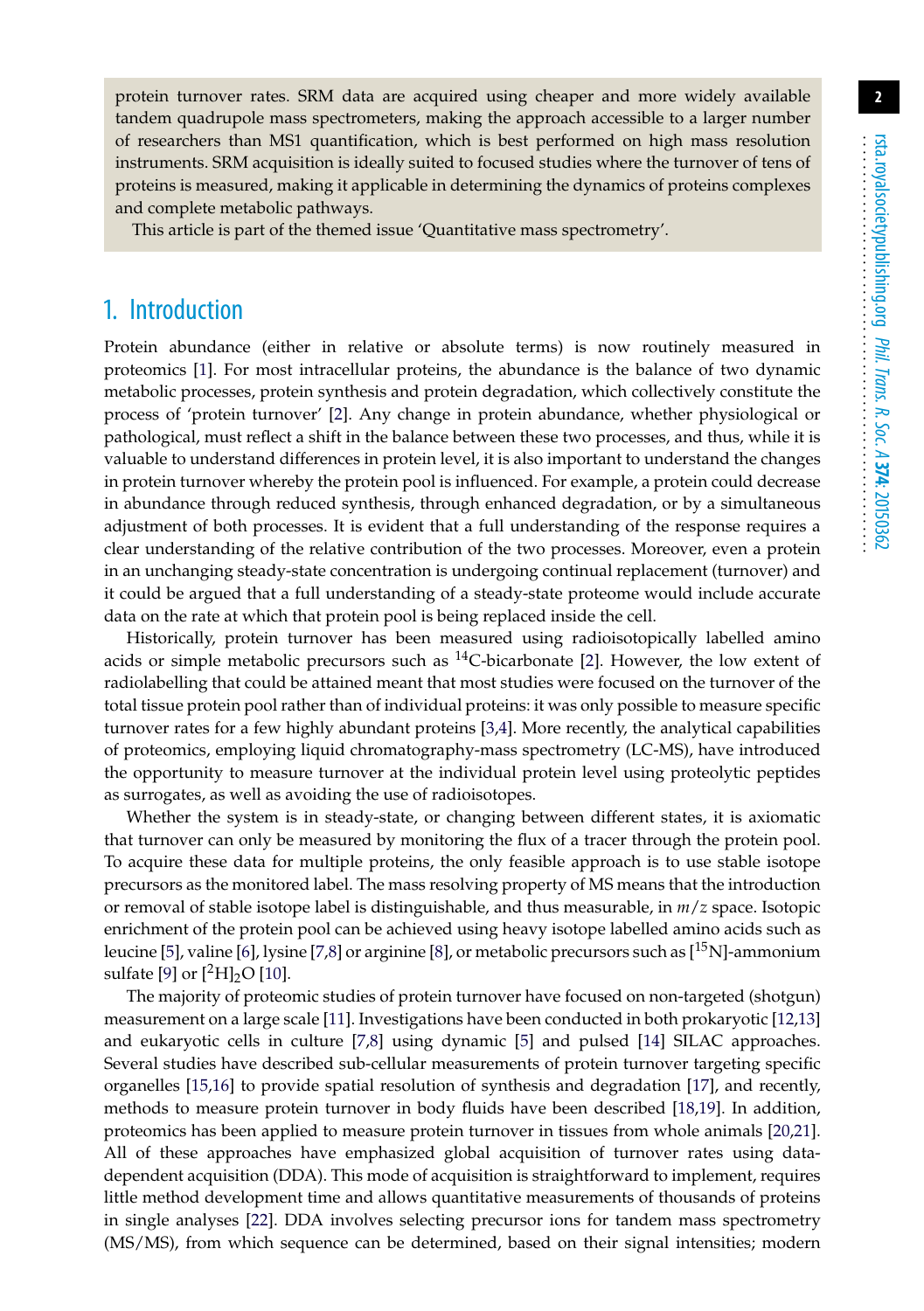protein turnover rates. SRM data are acquired using cheaper and more widely available tandem quadrupole mass spectrometers, making the approach accessible to a larger number of researchers than MS1 quantification, which is best performed on high mass resolution instruments. SRM acquisition is ideally suited to focused studies where the turnover of tens of proteins is measured, making it applicable in determining the dynamics of proteins complexes and complete metabolic pathways.

This article is part of the themed issue 'Quantitative mass spectrometry'.

## 1. Introduction

Protein abundance (either in relative or absolute terms) is now routinely measured in proteomics [\[1\]](#page-11-0). For most intracellular proteins, the abundance is the balance of two dynamic metabolic processes, protein synthesis and protein degradation, which collectively constitute the process of 'protein turnover' [\[2\]](#page-11-1). Any change in protein abundance, whether physiological or pathological, must reflect a shift in the balance between these two processes, and thus, while it is valuable to understand differences in protein level, it is also important to understand the changes in protein turnover whereby the protein pool is influenced. For example, a protein could decrease in abundance through reduced synthesis, through enhanced degradation, or by a simultaneous adjustment of both processes. It is evident that a full understanding of the response requires a clear understanding of the relative contribution of the two processes. Moreover, even a protein in an unchanging steady-state concentration is undergoing continual replacement (turnover) and it could be argued that a full understanding of a steady-state proteome would include accurate data on the rate at which that protein pool is being replaced inside the cell.

Historically, protein turnover has been measured using radioisotopically labelled amino acids or simple metabolic precursors such as  $^{14}$ C-bicarbonate [\[2\]](#page-11-1). However, the low extent of radiolabelling that could be attained meant that most studies were focused on the turnover of the total tissue protein pool rather than of individual proteins: it was only possible to measure specific turnover rates for a few highly abundant proteins [\[3](#page-11-2)[,4\]](#page-11-3). More recently, the analytical capabilities of proteomics, employing liquid chromatography-mass spectrometry (LC-MS), have introduced the opportunity to measure turnover at the individual protein level using proteolytic peptides as surrogates, as well as avoiding the use of radioisotopes.

Whether the system is in steady-state, or changing between different states, it is axiomatic that turnover can only be measured by monitoring the flux of a tracer through the protein pool. To acquire these data for multiple proteins, the only feasible approach is to use stable isotope precursors as the monitored label. The mass resolving property of MS means that the introduction or removal of stable isotope label is distinguishable, and thus measurable, in *m*/*z* space. Isotopic enrichment of the protein pool can be achieved using heavy isotope labelled amino acids such as leucine [\[5\]](#page-11-4), valine [\[6\]](#page-11-5), lysine [\[7](#page-11-6)[,8\]](#page-11-7) or arginine [\[8\]](#page-11-7), or metabolic precursors such as [15N]-ammonium sulfate [\[9\]](#page-11-8) or  $[^{2}H]_{2}O$  [\[10\]](#page-11-9).

The majority of proteomic studies of protein turnover have focused on non-targeted (shotgun) measurement on a large scale [\[11\]](#page-11-10). Investigations have been conducted in both prokaryotic [\[12](#page-11-11)[,13\]](#page-11-12) and eukaryotic cells in culture [\[7](#page-11-6)[,8\]](#page-11-7) using dynamic [\[5\]](#page-11-4) and pulsed [\[14\]](#page-11-13) SILAC approaches. Several studies have described sub-cellular measurements of protein turnover targeting specific organelles [\[15](#page-11-14)[,16\]](#page-11-15) to provide spatial resolution of synthesis and degradation [\[17\]](#page-11-16), and recently, methods to measure protein turnover in body fluids have been described [\[18](#page-11-17)[,19\]](#page-11-18). In addition, proteomics has been applied to measure protein turnover in tissues from whole animals [\[20,](#page-12-0)[21\]](#page-12-1). All of these approaches have emphasized global acquisition of turnover rates using datadependent acquisition (DDA). This mode of acquisition is straightforward to implement, requires little method development time and allows quantitative measurements of thousands of proteins in single analyses [\[22\]](#page-12-2). DDA involves selecting precursor ions for tandem mass spectrometry (MS/MS), from which sequence can be determined, based on their signal intensities; modern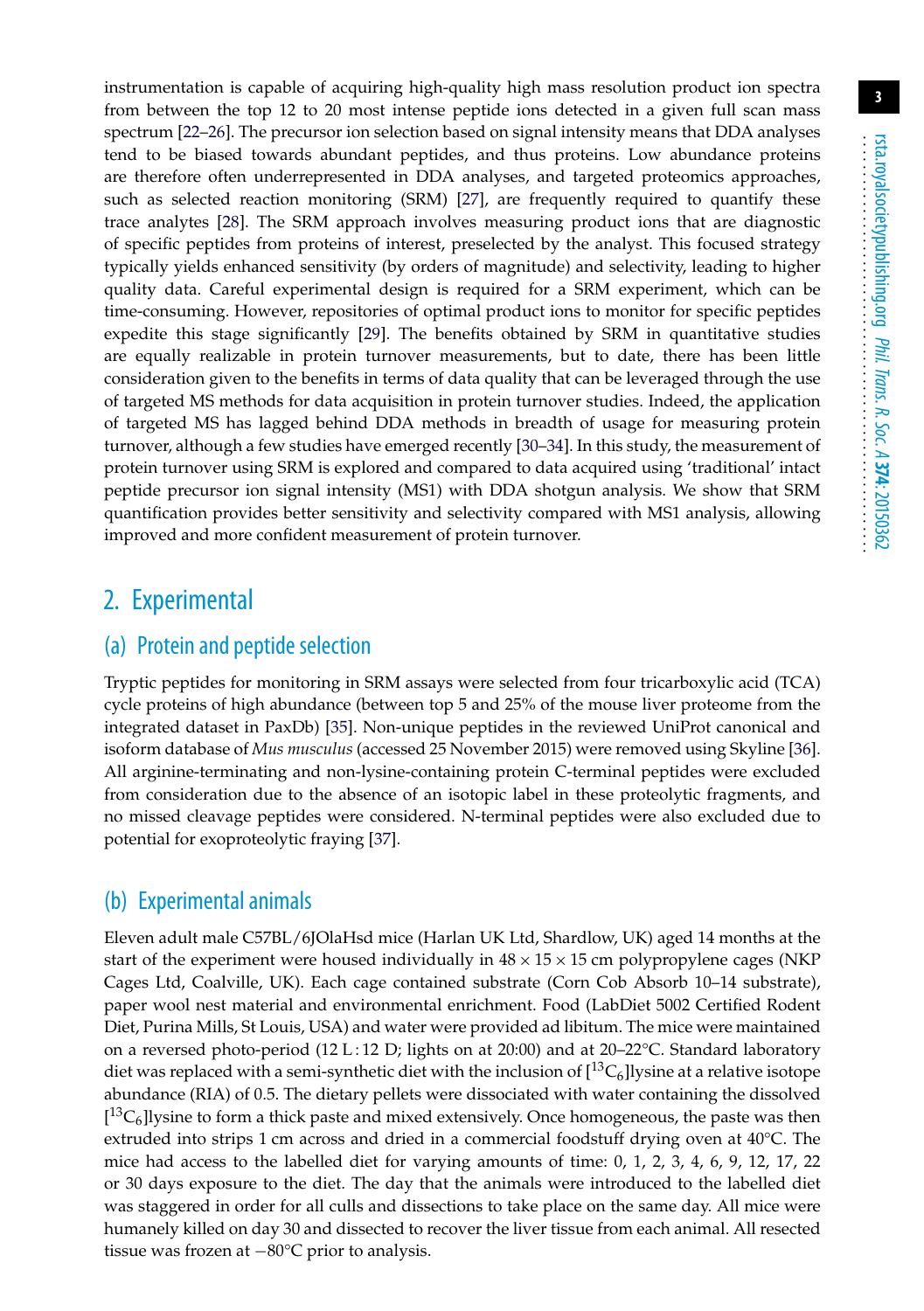instrumentation is capable of acquiring high-quality high mass resolution product ion spectra from between the top 12 to 20 most intense peptide ions detected in a given full scan mass spectrum [\[22](#page-12-2)[–26\]](#page-12-3). The precursor ion selection based on signal intensity means that DDA analyses tend to be biased towards abundant peptides, and thus proteins. Low abundance proteins are therefore often underrepresented in DDA analyses, and targeted proteomics approaches, such as selected reaction monitoring (SRM) [\[27\]](#page-12-4), are frequently required to quantify these trace analytes [\[28\]](#page-12-5). The SRM approach involves measuring product ions that are diagnostic of specific peptides from proteins of interest, preselected by the analyst. This focused strategy typically yields enhanced sensitivity (by orders of magnitude) and selectivity, leading to higher quality data. Careful experimental design is required for a SRM experiment, which can be time-consuming. However, repositories of optimal product ions to monitor for specific peptides expedite this stage significantly [\[29\]](#page-12-6). The benefits obtained by SRM in quantitative studies are equally realizable in protein turnover measurements, but to date, there has been little consideration given to the benefits in terms of data quality that can be leveraged through the use of targeted MS methods for data acquisition in protein turnover studies. Indeed, the application of targeted MS has lagged behind DDA methods in breadth of usage for measuring protein turnover, although a few studies have emerged recently [\[30–](#page-12-7)[34\]](#page-12-8). In this study, the measurement of protein turnover using SRM is explored and compared to data acquired using 'traditional' intact peptide precursor ion signal intensity (MS1) with DDA shotgun analysis. We show that SRM quantification provides better sensitivity and selectivity compared with MS1 analysis, allowing improved and more confident measurement of protein turnover.

## 2. Experimental

## (a) Protein and peptide selection

Tryptic peptides for monitoring in SRM assays were selected from four tricarboxylic acid (TCA) cycle proteins of high abundance (between top 5 and 25% of the mouse liver proteome from the integrated dataset in PaxDb) [\[35\]](#page-12-9). Non-unique peptides in the reviewed UniProt canonical and isoform database of *Mus musculus* (accessed 25 November 2015) were removed using Skyline [\[36\]](#page-12-10). All arginine-terminating and non-lysine-containing protein C-terminal peptides were excluded from consideration due to the absence of an isotopic label in these proteolytic fragments, and no missed cleavage peptides were considered. N-terminal peptides were also excluded due to potential for exoproteolytic fraying [\[37\]](#page-12-11).

#### (b) Experimental animals

Eleven adult male C57BL/6JOlaHsd mice (Harlan UK Ltd, Shardlow, UK) aged 14 months at the start of the experiment were housed individually in  $48 \times 15 \times 15$  cm polypropylene cages (NKP) Cages Ltd, Coalville, UK). Each cage contained substrate (Corn Cob Absorb 10–14 substrate), paper wool nest material and environmental enrichment. Food (LabDiet 5002 Certified Rodent Diet, Purina Mills, St Louis, USA) and water were provided ad libitum. The mice were maintained on a reversed photo-period (12 L:12 D; lights on at 20:00) and at 20-22 $\degree$ C. Standard laboratory diet was replaced with a semi-synthetic diet with the inclusion of  $[13C_6]$ lysine at a relative isotope abundance (RIA) of 0.5. The dietary pellets were dissociated with water containing the dissolved  $[{}^{13}C_6]$ lysine to form a thick paste and mixed extensively. Once homogeneous, the paste was then extruded into strips 1 cm across and dried in a commercial foodstuff drying oven at 40°C. The mice had access to the labelled diet for varying amounts of time: 0, 1, 2, 3, 4, 6, 9, 12, 17, 22 or 30 days exposure to the diet. The day that the animals were introduced to the labelled diet was staggered in order for all culls and dissections to take place on the same day. All mice were humanely killed on day 30 and dissected to recover the liver tissue from each animal. All resected tissue was frozen at −80°C prior to analysis.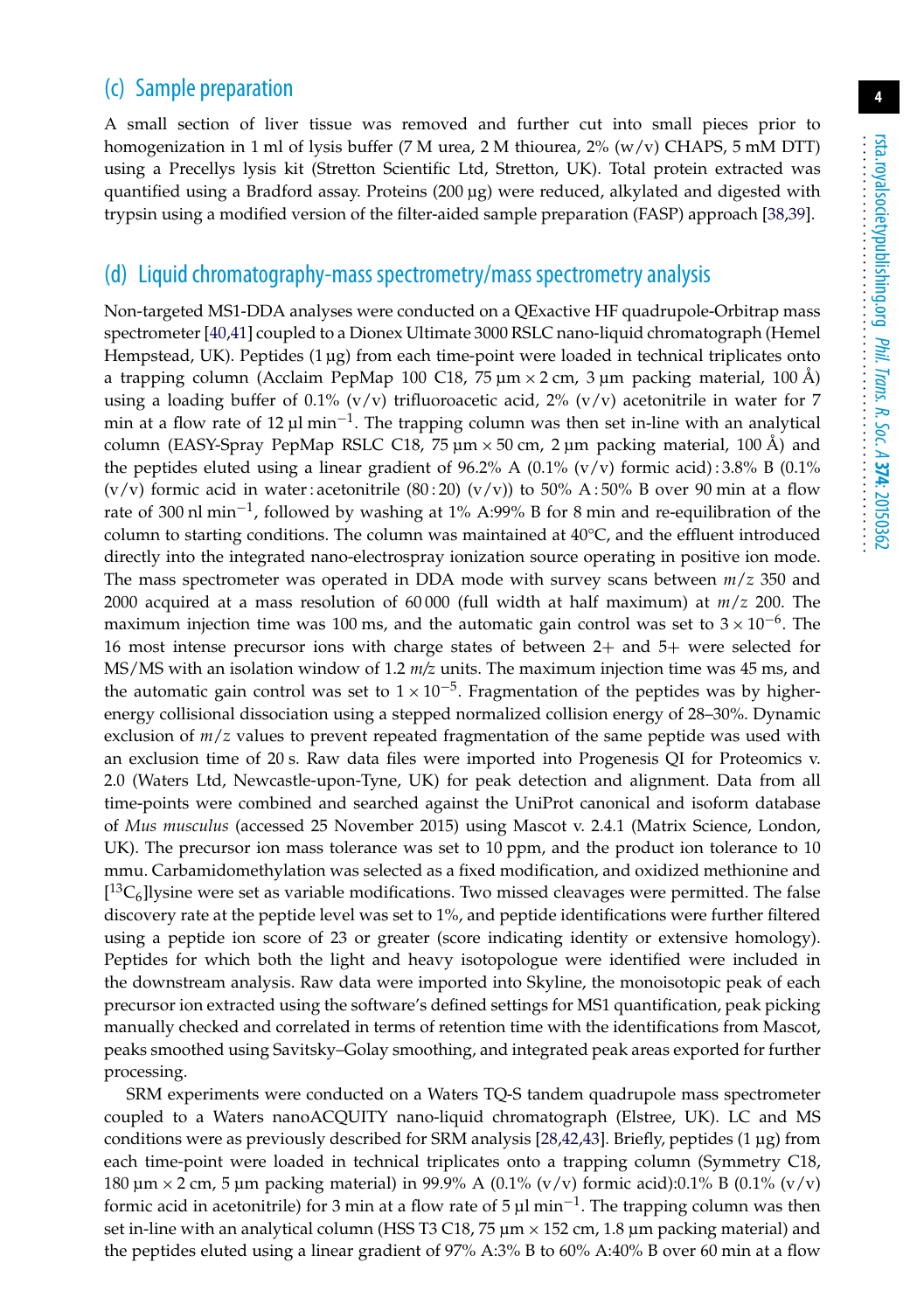## (c) Sample preparation

A small section of liver tissue was removed and further cut into small pieces prior to homogenization in 1 ml of lysis buffer (7 M urea, 2 M thiourea, 2% (w/v) CHAPS, 5 mM DTT) using a Precellys lysis kit (Stretton Scientific Ltd, Stretton, UK). Total protein extracted was quantified using a Bradford assay. Proteins (200 µg) were reduced, alkylated and digested with trypsin using a modified version of the filter-aided sample preparation (FASP) approach [\[38](#page-12-12)[,39\]](#page-12-13).

#### (d) Liquid chromatography-mass spectrometry/mass spectrometry analysis

Non-targeted MS1-DDA analyses were conducted on a QExactive HF quadrupole-Orbitrap mass spectrometer [\[40](#page-12-14)[,41\]](#page-13-0) coupled to a Dionex Ultimate 3000 RSLC nano-liquid chromatograph (Hemel Hempstead, UK). Peptides  $(1 \mu g)$  from each time-point were loaded in technical triplicates onto a trapping column (Acclaim PepMap 100 C18, 75  $\mu$ m  $\times$  2 cm, 3  $\mu$ m packing material, 100 Å) using a loading buffer of 0.1% (v/v) trifluoroacetic acid, 2% (v/v) acetonitrile in water for 7 min at a flow rate of 12 µl min<sup>-1</sup>. The trapping column was then set in-line with an analytical column (EASY-Spray PepMap RSLC C18, 75  $\mu$ m  $\times$  50 cm, 2  $\mu$ m packing material, 100 Å) and the peptides eluted using a linear gradient of  $96.2\%$  A (0.1% (v/v) formic acid): 3.8% B (0.1%  $(v/v)$  formic acid in water : acetonitrile  $(80:20)$   $(v/v)$  to 50% A:50% B over 90 min at a flow rate of 300 nl min−1, followed by washing at 1% A:99% B for 8 min and re-equilibration of the column to starting conditions. The column was maintained at  $40^{\circ}$ C, and the effluent introduced directly into the integrated nano-electrospray ionization source operating in positive ion mode. The mass spectrometer was operated in DDA mode with survey scans between *m*/*z* 350 and 2000 acquired at a mass resolution of 60 000 (full width at half maximum) at *m*/*z* 200. The maximum injection time was 100 ms, and the automatic gain control was set to  $3 \times 10^{-6}$ . The 16 most intense precursor ions with charge states of between 2+ and 5+ were selected for MS/MS with an isolation window of 1.2 *m/z* units. The maximum injection time was 45 ms, and the automatic gain control was set to  $1 \times 10^{-5}$ . Fragmentation of the peptides was by higherenergy collisional dissociation using a stepped normalized collision energy of 28–30%. Dynamic exclusion of *m*/*z* values to prevent repeated fragmentation of the same peptide was used with an exclusion time of 20 s. Raw data files were imported into Progenesis QI for Proteomics v. 2.0 (Waters Ltd, Newcastle-upon-Tyne, UK) for peak detection and alignment. Data from all time-points were combined and searched against the UniProt canonical and isoform database of *Mus musculus* (accessed 25 November 2015) using Mascot v. 2.4.1 (Matrix Science, London, UK). The precursor ion mass tolerance was set to 10 ppm, and the product ion tolerance to 10 mmu. Carbamidomethylation was selected as a fixed modification, and oxidized methionine and  $[{}^{13}C_6]$ lysine were set as variable modifications. Two missed cleavages were permitted. The false discovery rate at the peptide level was set to 1%, and peptide identifications were further filtered using a peptide ion score of 23 or greater (score indicating identity or extensive homology). Peptides for which both the light and heavy isotopologue were identified were included in the downstream analysis. Raw data were imported into Skyline, the monoisotopic peak of each precursor ion extracted using the software's defined settings for MS1 quantification, peak picking manually checked and correlated in terms of retention time with the identifications from Mascot, peaks smoothed using Savitsky–Golay smoothing, and integrated peak areas exported for further processing.

SRM experiments were conducted on a Waters TQ-S tandem quadrupole mass spectrometer coupled to a Waters nanoACQUITY nano-liquid chromatograph (Elstree, UK). LC and MS conditions were as previously described for SRM analysis [\[28,](#page-12-5)[42](#page-13-1)[,43\]](#page-13-2). Briefly, peptides (1 µg) from each time-point were loaded in technical triplicates onto a trapping column (Symmetry C18, 180  $\mu$ m  $\times$  2 cm, 5  $\mu$ m packing material) in 99.9% A (0.1% (v/v) formic acid):0.1% B (0.1% (v/v) formic acid in acetonitrile) for 3 min at a flow rate of 5  $\mu$ l min<sup>-1</sup>. The trapping column was then set in-line with an analytical column (HSS T3 C18,  $75 \mu m \times 152 \text{ cm}$ , 1.8  $\mu$ m packing material) and the peptides eluted using a linear gradient of 97% A:3% B to 60% A:40% B over 60 min at a flow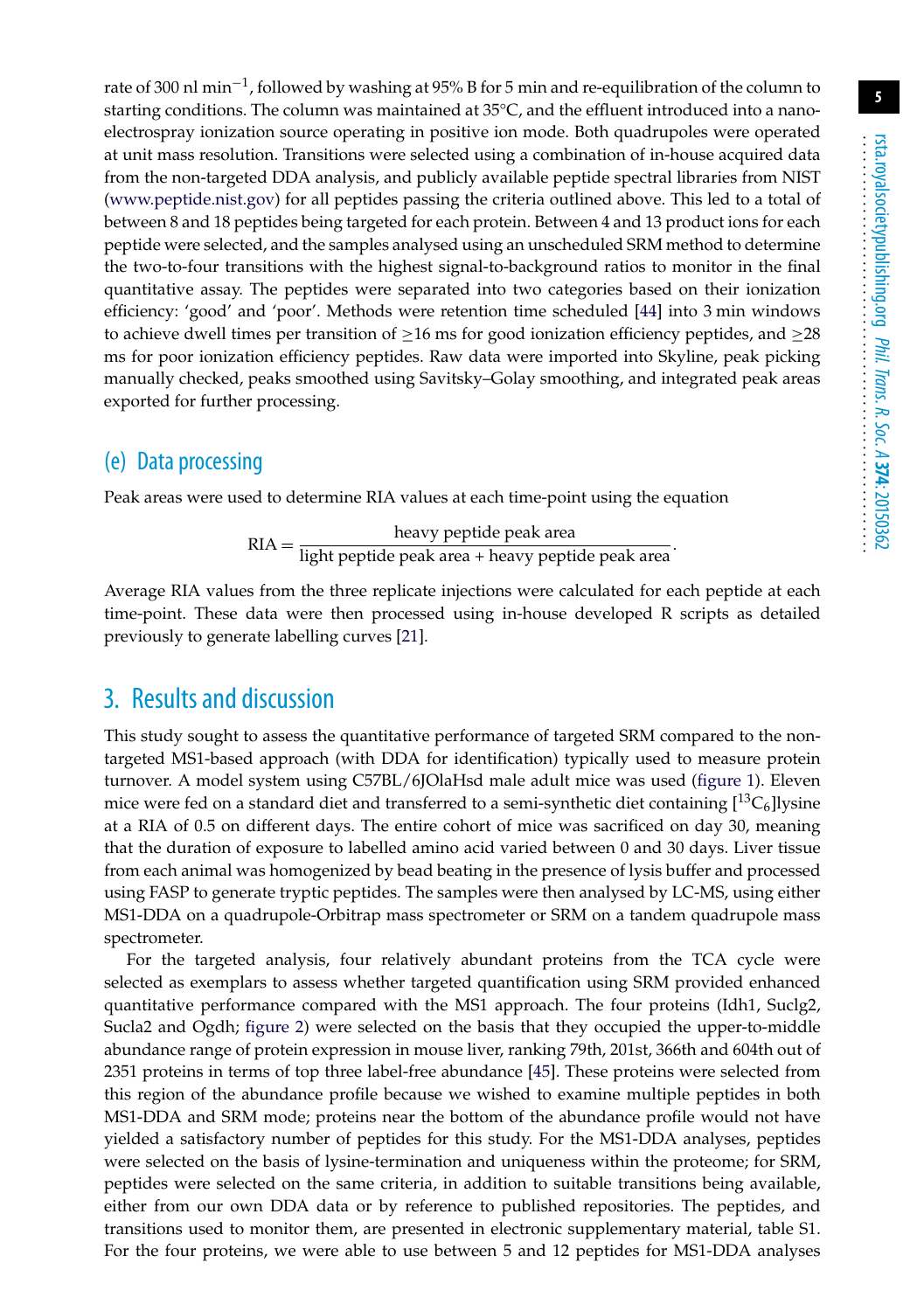rate of 300 nl min<sup>-1</sup>, followed by washing at 95% B for 5 min and re-equilibration of the column to starting conditions. The column was maintained at 35°C, and the effluent introduced into a nanoelectrospray ionization source operating in positive ion mode. Both quadrupoles were operated at unit mass resolution. Transitions were selected using a combination of in-house acquired data from the non-targeted DDA analysis, and publicly available peptide spectral libraries from NIST [\(www.peptide.nist.gov\)](www.peptide.nist.gov) for all peptides passing the criteria outlined above. This led to a total of between 8 and 18 peptides being targeted for each protein. Between 4 and 13 product ions for each peptide were selected, and the samples analysed using an unscheduled SRM method to determine the two-to-four transitions with the highest signal-to-background ratios to monitor in the final quantitative assay. The peptides were separated into two categories based on their ionization efficiency: 'good' and 'poor'. Methods were retention time scheduled [\[44\]](#page-13-3) into 3 min windows to achieve dwell times per transition of  $\geq$ 16 ms for good ionization efficiency peptides, and  $\geq$ 28 ms for poor ionization efficiency peptides. Raw data were imported into Skyline, peak picking manually checked, peaks smoothed using Savitsky–Golay smoothing, and integrated peak areas exported for further processing.

#### (e) Data processing

Peak areas were used to determine RIA values at each time-point using the equation

$$
RIA = \frac{heavy peptide peak area}{light peptide peak area + heavy peptide peak area}.
$$

Average RIA values from the three replicate injections were calculated for each peptide at each time-point. These data were then processed using in-house developed R scripts as detailed previously to generate labelling curves [\[21\]](#page-12-1).

## 3. Results and discussion

This study sought to assess the quantitative performance of targeted SRM compared to the nontargeted MS1-based approach (with DDA for identification) typically used to measure protein turnover. A model system using C57BL/6JOlaHsd male adult mice was used [\(figure 1\)](#page-5-0). Eleven mice were fed on a standard diet and transferred to a semi-synthetic diet containing  $\binom{13}{6}$ lysine at a RIA of 0.5 on different days. The entire cohort of mice was sacrificed on day 30, meaning that the duration of exposure to labelled amino acid varied between 0 and 30 days. Liver tissue from each animal was homogenized by bead beating in the presence of lysis buffer and processed using FASP to generate tryptic peptides. The samples were then analysed by LC-MS, using either MS1-DDA on a quadrupole-Orbitrap mass spectrometer or SRM on a tandem quadrupole mass spectrometer.

For the targeted analysis, four relatively abundant proteins from the TCA cycle were selected as exemplars to assess whether targeted quantification using SRM provided enhanced quantitative performance compared with the MS1 approach. The four proteins (Idh1, Suclg2, Sucla2 and Ogdh; [figure 2\)](#page-6-0) were selected on the basis that they occupied the upper-to-middle abundance range of protein expression in mouse liver, ranking 79th, 201st, 366th and 604th out of 2351 proteins in terms of top three label-free abundance [\[45\]](#page-13-4). These proteins were selected from this region of the abundance profile because we wished to examine multiple peptides in both MS1-DDA and SRM mode; proteins near the bottom of the abundance profile would not have yielded a satisfactory number of peptides for this study. For the MS1-DDA analyses, peptides were selected on the basis of lysine-termination and uniqueness within the proteome; for SRM, peptides were selected on the same criteria, in addition to suitable transitions being available, either from our own DDA data or by reference to published repositories. The peptides, and transitions used to monitor them, are presented in electronic supplementary material, table S1. For the four proteins, we were able to use between 5 and 12 peptides for MS1-DDA analyses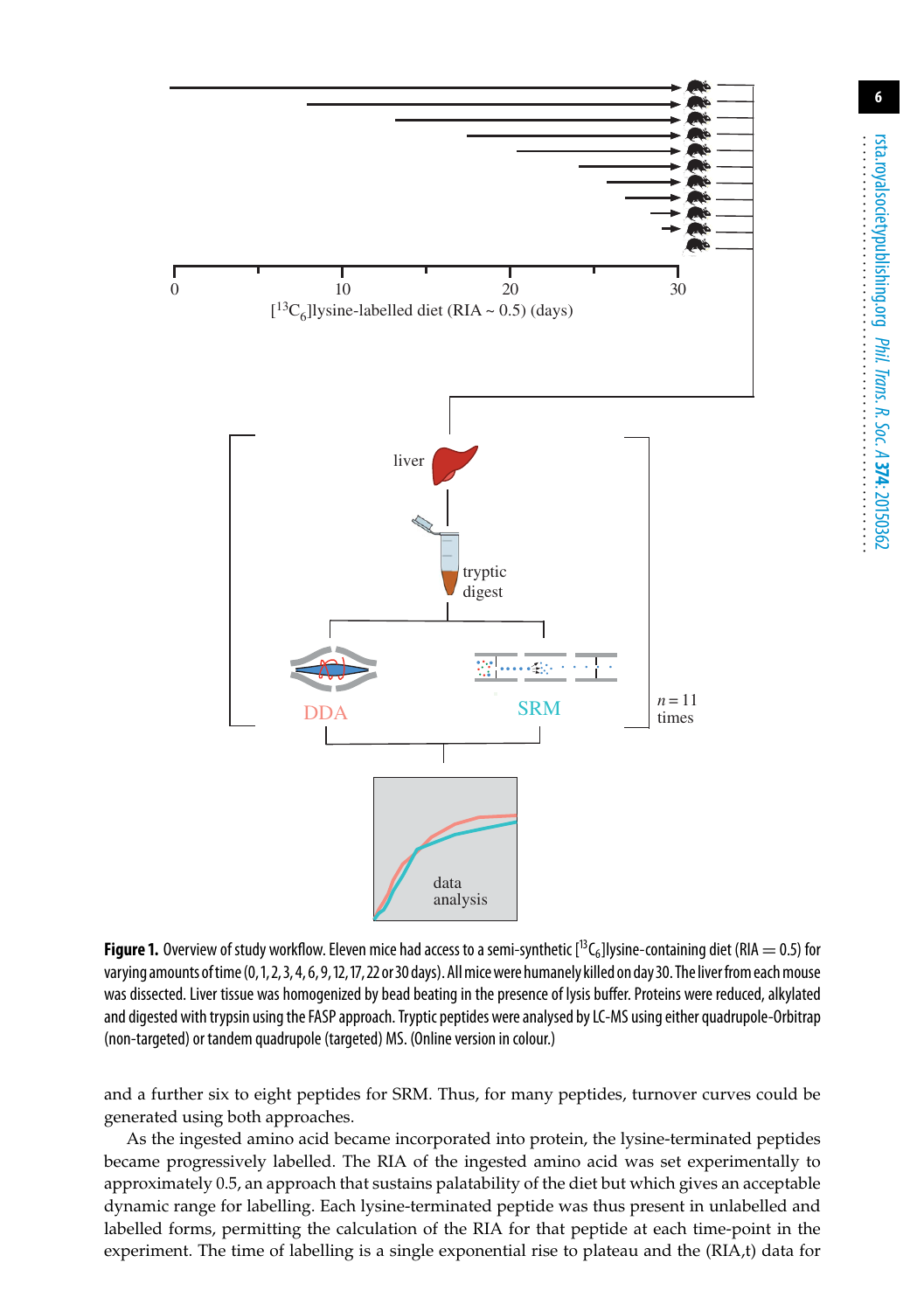

<span id="page-5-0"></span>**Figure 1.** Overview of study workflow. Eleven mice had access to a semi-synthetic  $[^{13}C_6]$ lysine-containing diet (RIA = 0.5) for varying amounts of time (0,1, 2, 3, 4, 6, 9, 12, 17, 22 or 30 days). All mice were humanely killed on day 30. The liver from each mouse was dissected. Liver tissue was homogenized by bead beating in the presence of lysis buffer. Proteins were reduced, alkylated and digested with trypsin using the FASP approach. Tryptic peptides were analysed by LC-MS using either quadrupole-Orbitrap (non-targeted) or tandem quadrupole (targeted) MS. (Online version in colour.)

and a further six to eight peptides for SRM. Thus, for many peptides, turnover curves could be generated using both approaches.

As the ingested amino acid became incorporated into protein, the lysine-terminated peptides became progressively labelled. The RIA of the ingested amino acid was set experimentally to approximately 0.5, an approach that sustains palatability of the diet but which gives an acceptable dynamic range for labelling. Each lysine-terminated peptide was thus present in unlabelled and labelled forms, permitting the calculation of the RIA for that peptide at each time-point in the experiment. The time of labelling is a single exponential rise to plateau and the (RIA,t) data for **6**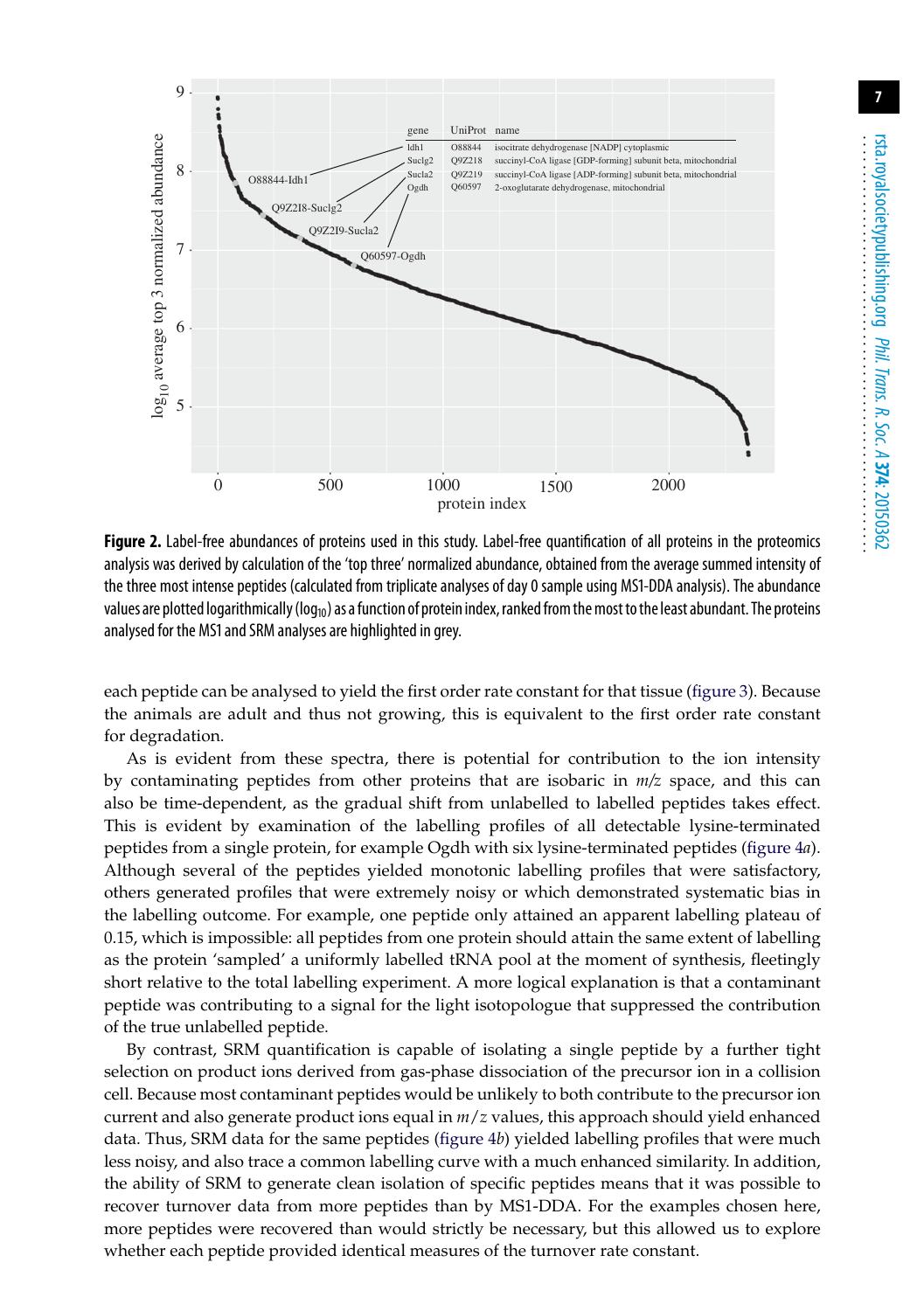

<span id="page-6-0"></span>Figure 2. Label-free abundances of proteins used in this study. Label-free quantification of all proteins in the proteomics analysis was derived by calculation of the 'top three' normalized abundance, obtained from the average summed intensity of the three most intense peptides (calculated from triplicate analyses of day 0 sample using MS1-DDA analysis). The abundance values are plotted logarithmically ( $log_{10}$ ) as a function of protein index, ranked from the most to the least abundant. The proteins analysed for the MS1 and SRM analyses are highlighted in grey.

each peptide can be analysed to yield the first order rate constant for that tissue [\(figure 3\)](#page-7-0). Because the animals are adult and thus not growing, this is equivalent to the first order rate constant for degradation.

As is evident from these spectra, there is potential for contribution to the ion intensity by contaminating peptides from other proteins that are isobaric in *m/z* space, and this can also be time-dependent, as the gradual shift from unlabelled to labelled peptides takes effect. This is evident by examination of the labelling profiles of all detectable lysine-terminated peptides from a single protein, for example Ogdh with six lysine-terminated peptides [\(figure 4](#page-8-0)*a*). Although several of the peptides yielded monotonic labelling profiles that were satisfactory, others generated profiles that were extremely noisy or which demonstrated systematic bias in the labelling outcome. For example, one peptide only attained an apparent labelling plateau of 0.15, which is impossible: all peptides from one protein should attain the same extent of labelling as the protein 'sampled' a uniformly labelled tRNA pool at the moment of synthesis, fleetingly short relative to the total labelling experiment. A more logical explanation is that a contaminant peptide was contributing to a signal for the light isotopologue that suppressed the contribution of the true unlabelled peptide.

By contrast, SRM quantification is capable of isolating a single peptide by a further tight selection on product ions derived from gas-phase dissociation of the precursor ion in a collision cell. Because most contaminant peptides would be unlikely to both contribute to the precursor ion current and also generate product ions equal in *m*/*z* values, this approach should yield enhanced data. Thus, SRM data for the same peptides [\(figure 4](#page-8-0)*b*) yielded labelling profiles that were much less noisy, and also trace a common labelling curve with a much enhanced similarity. In addition, the ability of SRM to generate clean isolation of specific peptides means that it was possible to recover turnover data from more peptides than by MS1-DDA. For the examples chosen here, more peptides were recovered than would strictly be necessary, but this allowed us to explore whether each peptide provided identical measures of the turnover rate constant.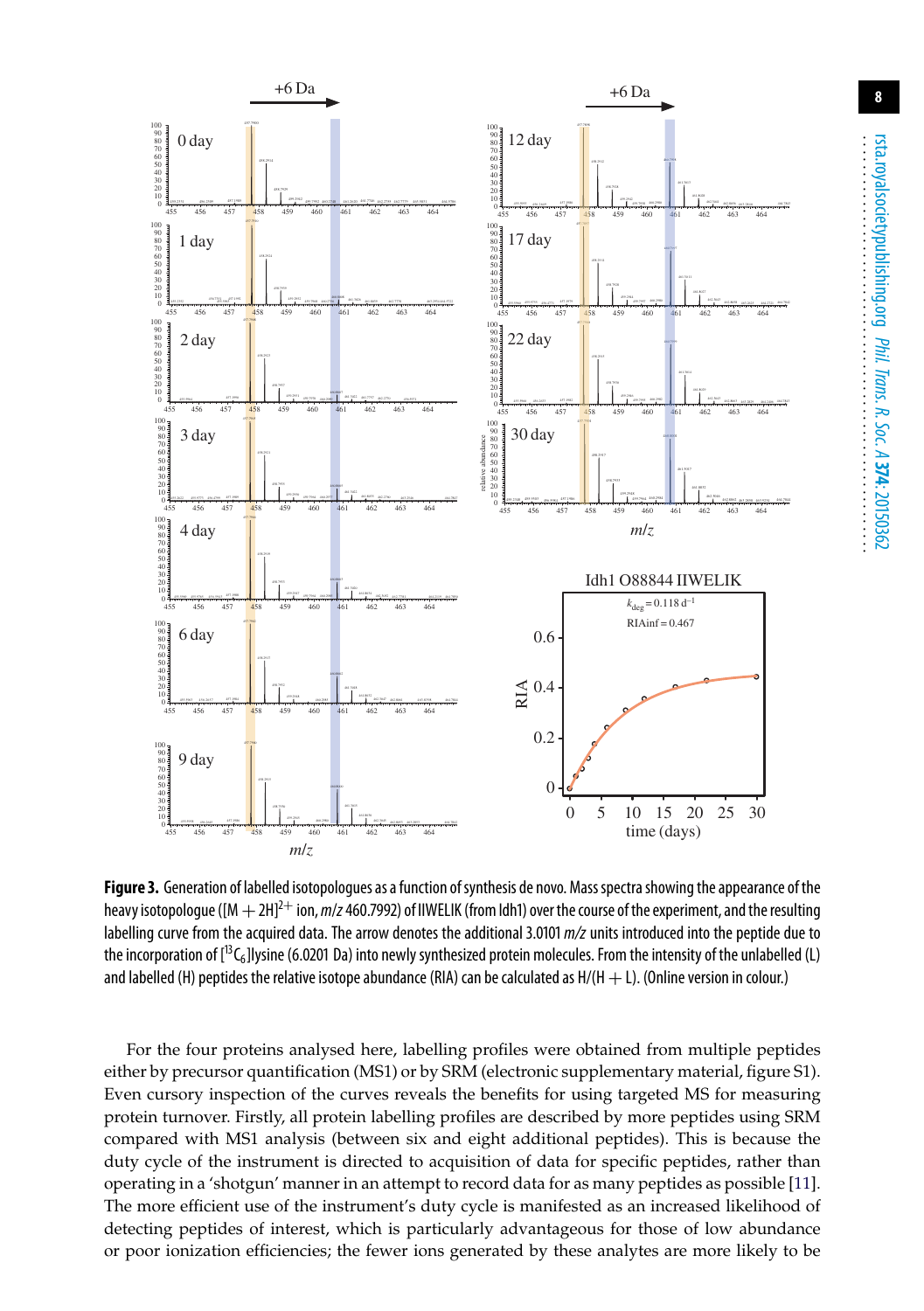

<span id="page-7-0"></span>Figure 3. Generation of labelled isotopologues as a function of synthesis de novo. Mass spectra showing the appearance of the heavy isotopologue ([M  $+ 2H]^{2+}$  ion, *m/z* 460.7992) of IIWELIK (from Idh1) over the course of the experiment, and the resulting labelling curve from the acquired data. The arrow denotes the additional 3.0101 *m/z* units introduced into the peptide due to the incorporation of  $[^{13}C_6]$ lysine (6.0201 Da) into newly synthesized protein molecules. From the intensity of the unlabelled (L) and labelled (H) peptides the relative isotope abundance (RIA) can be calculated as  $H/(H + L)$ . (Online version in colour.)

For the four proteins analysed here, labelling profiles were obtained from multiple peptides either by precursor quantification (MS1) or by SRM (electronic supplementary material, figure S1). Even cursory inspection of the curves reveals the benefits for using targeted MS for measuring protein turnover. Firstly, all protein labelling profiles are described by more peptides using SRM compared with MS1 analysis (between six and eight additional peptides). This is because the duty cycle of the instrument is directed to acquisition of data for specific peptides, rather than operating in a 'shotgun' manner in an attempt to record data for as many peptides as possible [\[11\]](#page-11-10). The more efficient use of the instrument's duty cycle is manifested as an increased likelihood of detecting peptides of interest, which is particularly advantageous for those of low abundance or poor ionization efficiencies; the fewer ions generated by these analytes are more likely to be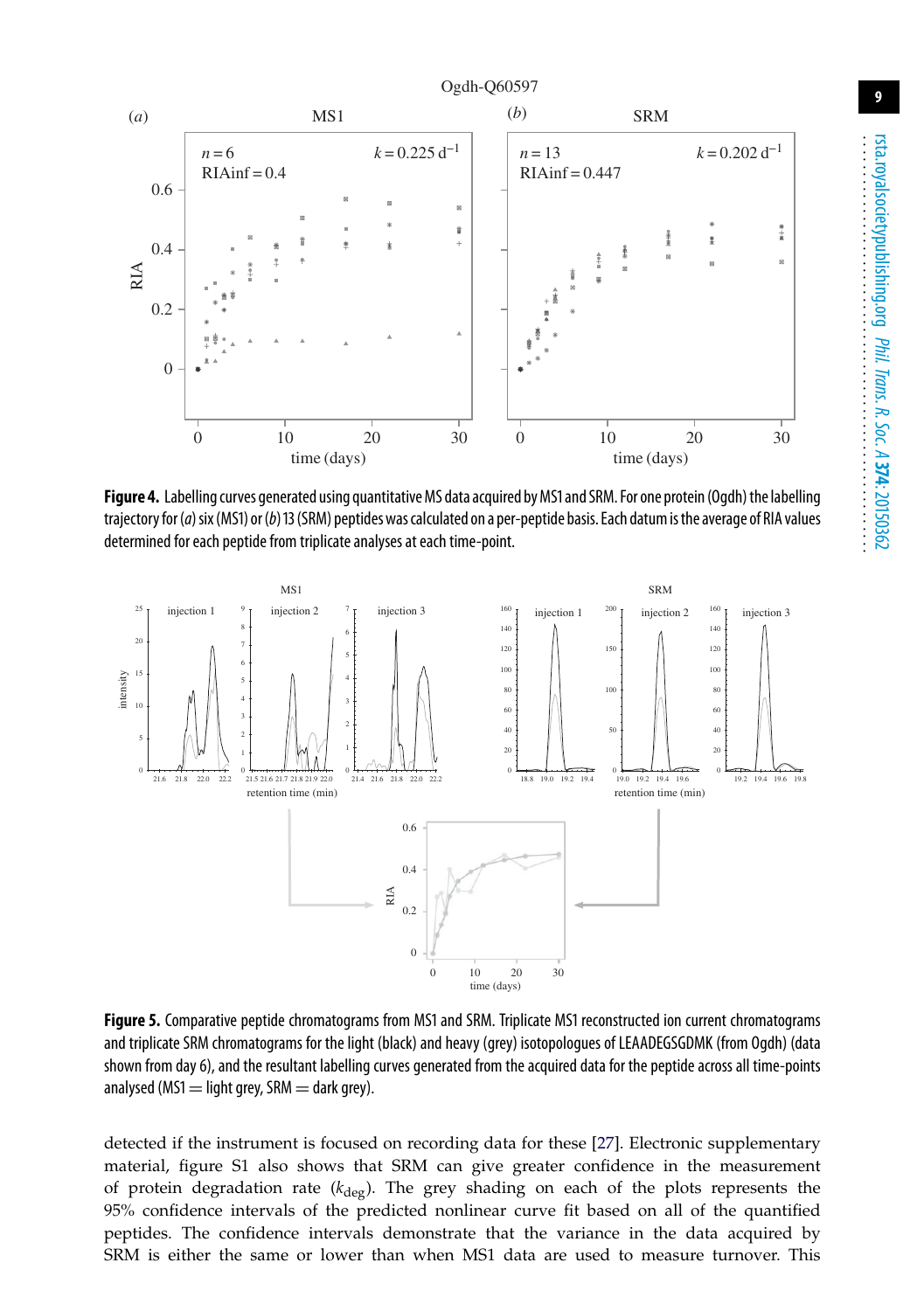

<span id="page-8-0"></span>Figure 4. Labelling curves generated using quantitative MS data acquired by MS1 and SRM. For one protein (Ogdh) the labelling trajectory for(*a*)six(MS1) or(*b*)13(SRM) peptides was calculated on a per-peptide basis. Each datum isthe average of RIA values determined for each peptide from triplicate analyses at each time-point.



<span id="page-8-1"></span>**Figure 5.** Comparative peptide chromatograms from MS1 and SRM. Triplicate MS1 reconstructed ion current chromatograms and triplicate SRM chromatograms for the light (black) and heavy (grey) isotopologues of LEAADEGSGDMK (from Ogdh) (data shown from day 6), and the resultant labelling curves generated from the acquired data for the peptide across all time-points analysed (MS1  $=$  light grey, SRM  $=$  dark grey).

detected if the instrument is focused on recording data for these [\[27\]](#page-12-4). Electronic supplementary material, figure S1 also shows that SRM can give greater confidence in the measurement of protein degradation rate  $(k_{\text{deg}})$ . The grey shading on each of the plots represents the 95% confidence intervals of the predicted nonlinear curve fit based on all of the quantified peptides. The confidence intervals demonstrate that the variance in the data acquired by SRM is either the same or lower than when MS1 data are used to measure turnover. This

**9**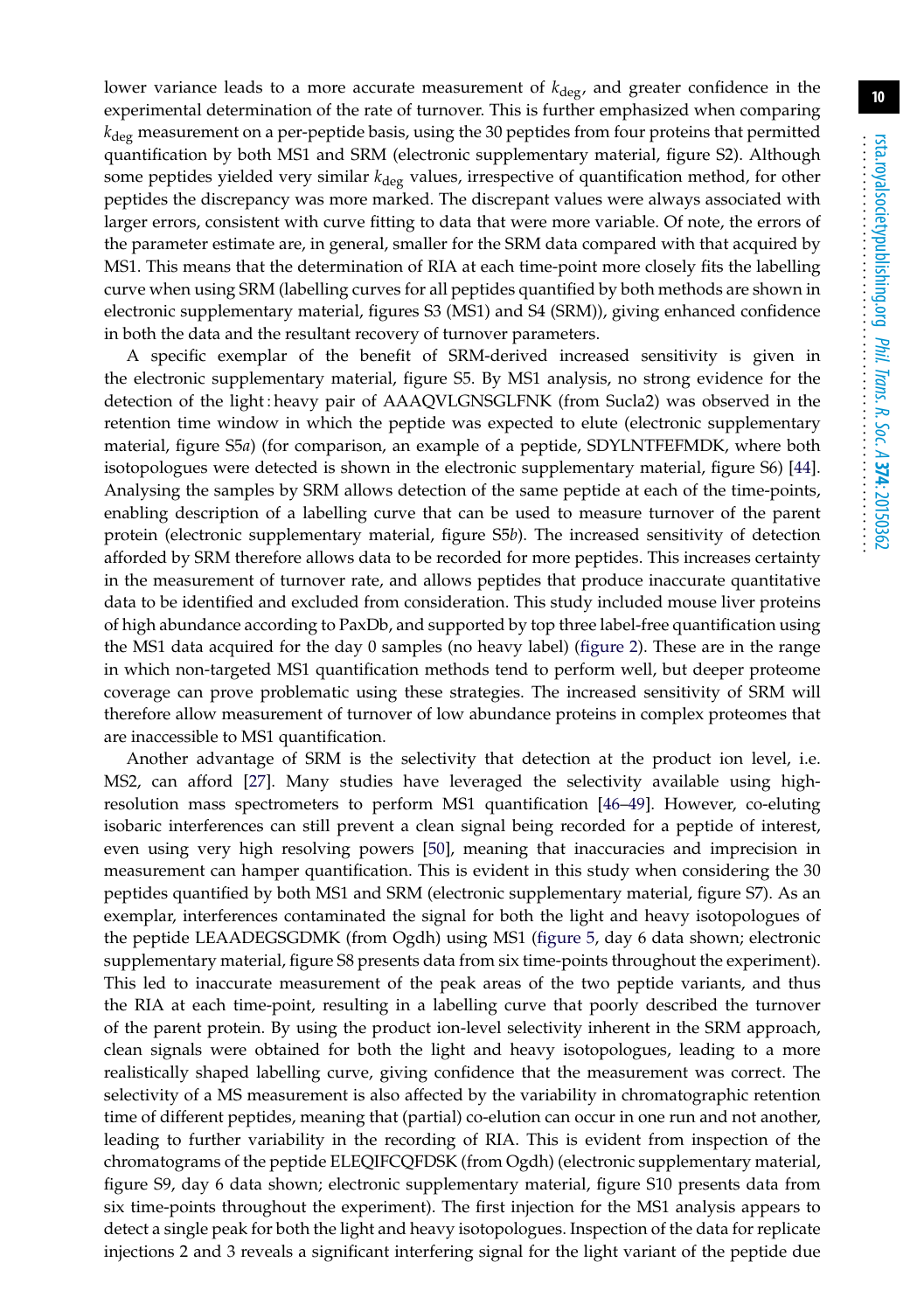lower variance leads to a more accurate measurement of *k*deg, and greater confidence in the experimental determination of the rate of turnover. This is further emphasized when comparing *k*deg measurement on a per-peptide basis, using the 30 peptides from four proteins that permitted quantification by both MS1 and SRM (electronic supplementary material, figure S2). Although some peptides yielded very similar  $k_{\text{deg}}$  values, irrespective of quantification method, for other peptides the discrepancy was more marked. The discrepant values were always associated with larger errors, consistent with curve fitting to data that were more variable. Of note, the errors of the parameter estimate are, in general, smaller for the SRM data compared with that acquired by MS1. This means that the determination of RIA at each time-point more closely fits the labelling curve when using SRM (labelling curves for all peptides quantified by both methods are shown in electronic supplementary material, figures S3 (MS1) and S4 (SRM)), giving enhanced confidence in both the data and the resultant recovery of turnover parameters.

A specific exemplar of the benefit of SRM-derived increased sensitivity is given in the electronic supplementary material, figure S5. By MS1 analysis, no strong evidence for the detection of the light : heavy pair of AAAQVLGNSGLFNK (from Sucla2) was observed in the retention time window in which the peptide was expected to elute (electronic supplementary material, figure S5*a*) (for comparison, an example of a peptide, SDYLNTFEFMDK, where both isotopologues were detected is shown in the electronic supplementary material, figure S6) [\[44\]](#page-13-3). Analysing the samples by SRM allows detection of the same peptide at each of the time-points, enabling description of a labelling curve that can be used to measure turnover of the parent protein (electronic supplementary material, figure S5*b*). The increased sensitivity of detection afforded by SRM therefore allows data to be recorded for more peptides. This increases certainty in the measurement of turnover rate, and allows peptides that produce inaccurate quantitative data to be identified and excluded from consideration. This study included mouse liver proteins of high abundance according to PaxDb, and supported by top three label-free quantification using the MS1 data acquired for the day 0 samples (no heavy label) [\(figure 2\)](#page-6-0). These are in the range in which non-targeted MS1 quantification methods tend to perform well, but deeper proteome coverage can prove problematic using these strategies. The increased sensitivity of SRM will therefore allow measurement of turnover of low abundance proteins in complex proteomes that are inaccessible to MS1 quantification.

Another advantage of SRM is the selectivity that detection at the product ion level, i.e. MS2, can afford [\[27\]](#page-12-4). Many studies have leveraged the selectivity available using highresolution mass spectrometers to perform MS1 quantification [\[46–](#page-13-5)[49\]](#page-13-6). However, co-eluting isobaric interferences can still prevent a clean signal being recorded for a peptide of interest, even using very high resolving powers [\[50\]](#page-13-7), meaning that inaccuracies and imprecision in measurement can hamper quantification. This is evident in this study when considering the 30 peptides quantified by both MS1 and SRM (electronic supplementary material, figure S7). As an exemplar, interferences contaminated the signal for both the light and heavy isotopologues of the peptide LEAADEGSGDMK (from Ogdh) using MS1 [\(figure 5,](#page-8-1) day 6 data shown; electronic supplementary material, figure S8 presents data from six time-points throughout the experiment). This led to inaccurate measurement of the peak areas of the two peptide variants, and thus the RIA at each time-point, resulting in a labelling curve that poorly described the turnover of the parent protein. By using the product ion-level selectivity inherent in the SRM approach, clean signals were obtained for both the light and heavy isotopologues, leading to a more realistically shaped labelling curve, giving confidence that the measurement was correct. The selectivity of a MS measurement is also affected by the variability in chromatographic retention time of different peptides, meaning that (partial) co-elution can occur in one run and not another, leading to further variability in the recording of RIA. This is evident from inspection of the chromatograms of the peptide ELEQIFCQFDSK (from Ogdh) (electronic supplementary material, figure S9, day 6 data shown; electronic supplementary material, figure S10 presents data from six time-points throughout the experiment). The first injection for the MS1 analysis appears to detect a single peak for both the light and heavy isotopologues. Inspection of the data for replicate injections 2 and 3 reveals a significant interfering signal for the light variant of the peptide due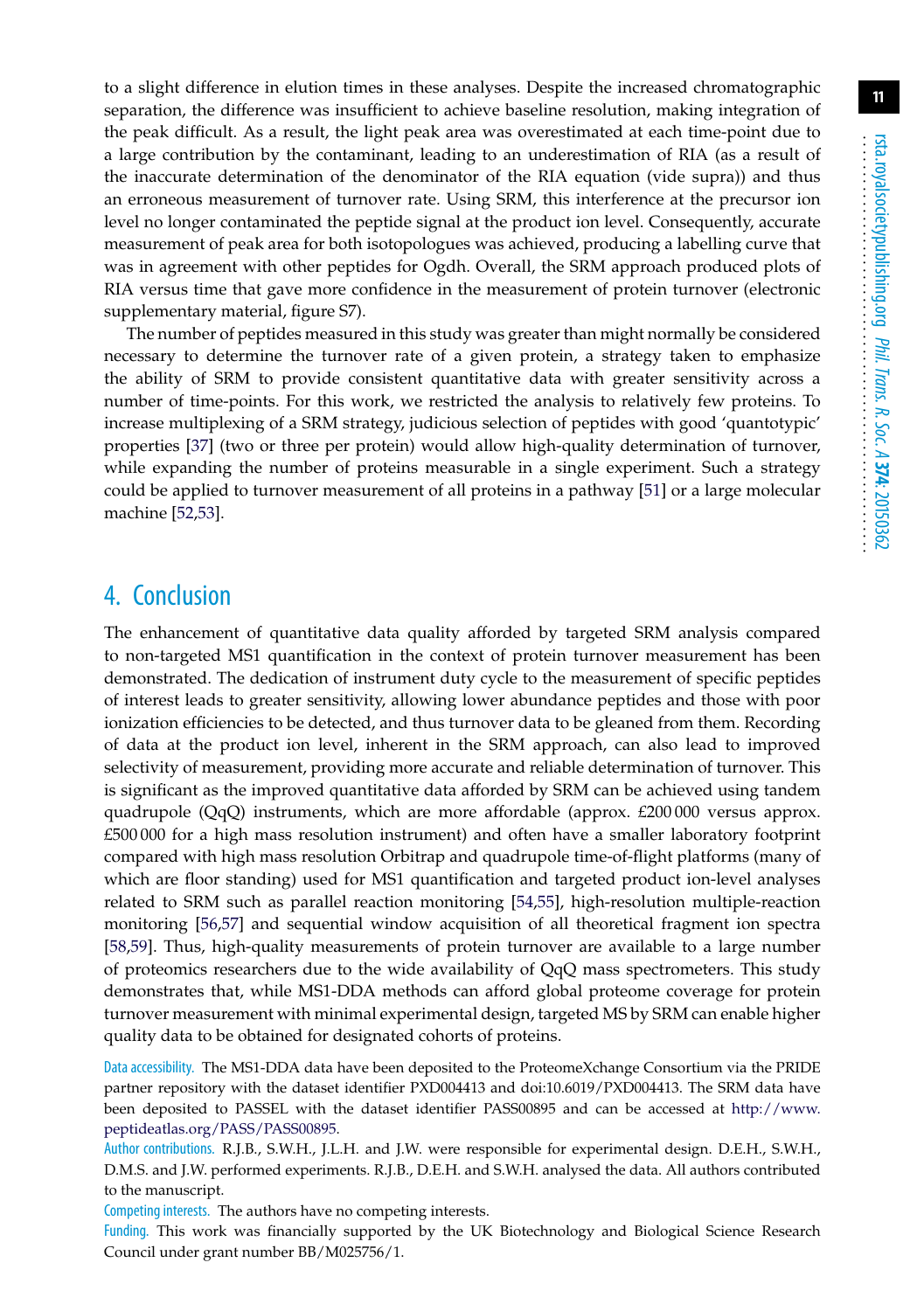**11**

to a slight difference in elution times in these analyses. Despite the increased chromatographic separation, the difference was insufficient to achieve baseline resolution, making integration of the peak difficult. As a result, the light peak area was overestimated at each time-point due to a large contribution by the contaminant, leading to an underestimation of RIA (as a result of the inaccurate determination of the denominator of the RIA equation (vide supra)) and thus an erroneous measurement of turnover rate. Using SRM, this interference at the precursor ion level no longer contaminated the peptide signal at the product ion level. Consequently, accurate measurement of peak area for both isotopologues was achieved, producing a labelling curve that was in agreement with other peptides for Ogdh. Overall, the SRM approach produced plots of RIA versus time that gave more confidence in the measurement of protein turnover (electronic supplementary material, figure S7).

The number of peptides measured in this study was greater than might normally be considered necessary to determine the turnover rate of a given protein, a strategy taken to emphasize the ability of SRM to provide consistent quantitative data with greater sensitivity across a number of time-points. For this work, we restricted the analysis to relatively few proteins. To increase multiplexing of a SRM strategy, judicious selection of peptides with good 'quantotypic' properties [\[37\]](#page-12-11) (two or three per protein) would allow high-quality determination of turnover, while expanding the number of proteins measurable in a single experiment. Such a strategy could be applied to turnover measurement of all proteins in a pathway [\[51\]](#page-13-8) or a large molecular machine [\[52](#page-13-9)[,53\]](#page-13-10).

## 4. Conclusion

The enhancement of quantitative data quality afforded by targeted SRM analysis compared to non-targeted MS1 quantification in the context of protein turnover measurement has been demonstrated. The dedication of instrument duty cycle to the measurement of specific peptides of interest leads to greater sensitivity, allowing lower abundance peptides and those with poor ionization efficiencies to be detected, and thus turnover data to be gleaned from them. Recording of data at the product ion level, inherent in the SRM approach, can also lead to improved selectivity of measurement, providing more accurate and reliable determination of turnover. This is significant as the improved quantitative data afforded by SRM can be achieved using tandem quadrupole (QqQ) instruments, which are more affordable (approx. £200 000 versus approx. £500 000 for a high mass resolution instrument) and often have a smaller laboratory footprint compared with high mass resolution Orbitrap and quadrupole time-of-flight platforms (many of which are floor standing) used for MS1 quantification and targeted product ion-level analyses related to SRM such as parallel reaction monitoring [\[54,](#page-13-11)[55\]](#page-13-12), high-resolution multiple-reaction monitoring [\[56](#page-13-13)[,57\]](#page-13-14) and sequential window acquisition of all theoretical fragment ion spectra [\[58](#page-13-15)[,59\]](#page-13-16). Thus, high-quality measurements of protein turnover are available to a large number of proteomics researchers due to the wide availability of QqQ mass spectrometers. This study demonstrates that, while MS1-DDA methods can afford global proteome coverage for protein turnover measurement with minimal experimental design, targeted MS by SRM can enable higher quality data to be obtained for designated cohorts of proteins.

Data accessibility. The MS1-DDA data have been deposited to the ProteomeXchange Consortium via the PRIDE partner repository with the dataset identifier PXD004413 and doi:10.6019/PXD004413. The SRM data have been deposited to PASSEL with the dataset identifier PASS00895 and can be accessed at [http://www.](http://www.peptideatlas.org/PASS/PASS00895) [peptideatlas.org/PASS/PASS00895.](http://www.peptideatlas.org/PASS/PASS00895)

Author contributions. R.J.B., S.W.H., J.L.H. and J.W. were responsible for experimental design. D.E.H., S.W.H., D.M.S. and J.W. performed experiments. R.J.B., D.E.H. and S.W.H. analysed the data. All authors contributed to the manuscript.

Competing interests. The authors have no competing interests.

Funding. This work was financially supported by the UK Biotechnology and Biological Science Research Council under grant number BB/M025756/1.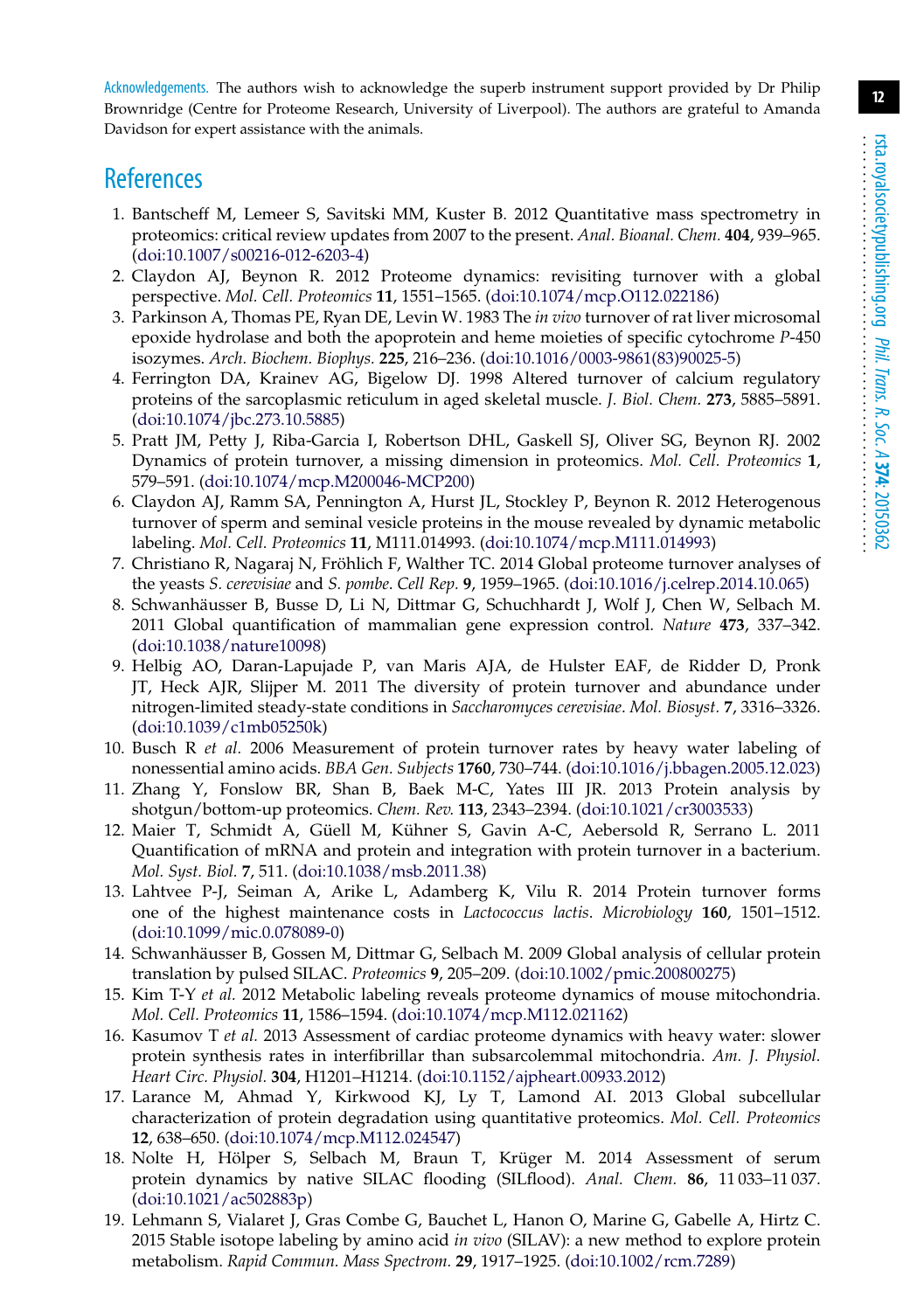Acknowledgements. The authors wish to acknowledge the superb instrument support provided by Dr Philip Brownridge (Centre for Proteome Research, University of Liverpool). The authors are grateful to Amanda Davidson for expert assistance with the animals.

# <span id="page-11-0"></span>**References**

- 1. Bantscheff M, Lemeer S, Savitski MM, Kuster B. 2012 Quantitative mass spectrometry in proteomics: critical review updates from 2007 to the present. *Anal. Bioanal. Chem.* **404**, 939–965. [\(doi:10.1007/s00216-012-6203-4\)](http://dx.doi.org/10.1007/s00216-012-6203-4)
- <span id="page-11-1"></span>2. Claydon AJ, Beynon R. 2012 Proteome dynamics: revisiting turnover with a global perspective. *Mol. Cell. Proteomics* **11**, 1551–1565. [\(doi:10.1074/mcp.O112.022186\)](http://dx.doi.org/10.1074/mcp.O112.022186)
- <span id="page-11-2"></span>3. Parkinson A, Thomas PE, Ryan DE, Levin W. 1983 The *in vivo* turnover of rat liver microsomal epoxide hydrolase and both the apoprotein and heme moieties of specific cytochrome *P*-450 isozymes. *Arch. Biochem. Biophys.* **225**, 216–236. [\(doi:10.1016/0003-9861\(83\)90025-5\)](http://dx.doi.org/10.1016/0003-9861(83)90025-5)
- <span id="page-11-3"></span>4. Ferrington DA, Krainev AG, Bigelow DJ. 1998 Altered turnover of calcium regulatory proteins of the sarcoplasmic reticulum in aged skeletal muscle. *J. Biol. Chem.* **273**, 5885–5891. [\(doi:10.1074/jbc.273.10.5885\)](http://dx.doi.org/10.1074/jbc.273.10.5885)
- <span id="page-11-4"></span>5. Pratt JM, Petty J, Riba-Garcia I, Robertson DHL, Gaskell SJ, Oliver SG, Beynon RJ. 2002 Dynamics of protein turnover, a missing dimension in proteomics. *Mol. Cell. Proteomics* **1**, 579–591. [\(doi:10.1074/mcp.M200046-MCP200\)](http://dx.doi.org/10.1074/mcp.M200046-MCP200)
- <span id="page-11-5"></span>6. Claydon AJ, Ramm SA, Pennington A, Hurst JL, Stockley P, Beynon R. 2012 Heterogenous turnover of sperm and seminal vesicle proteins in the mouse revealed by dynamic metabolic labeling. *Mol. Cell. Proteomics* **11**, M111.014993. [\(doi:10.1074/mcp.M111.014993\)](http://dx.doi.org/10.1074/mcp.M111.014993)
- <span id="page-11-6"></span>7. Christiano R, Nagaraj N, Fröhlich F, Walther TC. 2014 Global proteome turnover analyses of the yeasts *S. cerevisiae* and *S. pombe*. *Cell Rep.* **9**, 1959–1965. [\(doi:10.1016/j.celrep.2014.10.065\)](http://dx.doi.org/10.1016/j.celrep.2014.10.065)
- <span id="page-11-7"></span>8. Schwanhäusser B, Busse D, Li N, Dittmar G, Schuchhardt J, Wolf J, Chen W, Selbach M. 2011 Global quantification of mammalian gene expression control. *Nature* **473**, 337–342. [\(doi:10.1038/nature10098\)](http://dx.doi.org/10.1038/nature10098)
- <span id="page-11-8"></span>9. Helbig AO, Daran-Lapujade P, van Maris AJA, de Hulster EAF, de Ridder D, Pronk JT, Heck AJR, Slijper M. 2011 The diversity of protein turnover and abundance under nitrogen-limited steady-state conditions in *Saccharomyces cerevisiae*. *Mol. Biosyst.* **7**, 3316–3326. [\(doi:10.1039/c1mb05250k\)](http://dx.doi.org/10.1039/c1mb05250k)
- <span id="page-11-9"></span>10. Busch R *et al.* 2006 Measurement of protein turnover rates by heavy water labeling of nonessential amino acids. *BBA Gen. Subjects* **1760**, 730–744. [\(doi:10.1016/j.bbagen.2005.12.023\)](http://dx.doi.org/10.1016/j.bbagen.2005.12.023)
- <span id="page-11-10"></span>11. Zhang Y, Fonslow BR, Shan B, Baek M-C, Yates III JR. 2013 Protein analysis by shotgun/bottom-up proteomics. *Chem. Rev.* **113**, 2343–2394. [\(doi:10.1021/cr3003533\)](http://dx.doi.org/10.1021/cr3003533)
- <span id="page-11-11"></span>12. Maier T, Schmidt A, Güell M, Kühner S, Gavin A-C, Aebersold R, Serrano L. 2011 Quantification of mRNA and protein and integration with protein turnover in a bacterium. *Mol. Syst. Biol.* **7**, 511. [\(doi:10.1038/msb.2011.38\)](http://dx.doi.org/10.1038/msb.2011.38)
- <span id="page-11-12"></span>13. Lahtvee P-J, Seiman A, Arike L, Adamberg K, Vilu R. 2014 Protein turnover forms one of the highest maintenance costs in *Lactococcus lactis*. *Microbiology* **160**, 1501–1512. [\(doi:10.1099/mic.0.078089-0\)](http://dx.doi.org/10.1099/mic.0.078089-0)
- <span id="page-11-13"></span>14. Schwanhäusser B, Gossen M, Dittmar G, Selbach M. 2009 Global analysis of cellular protein translation by pulsed SILAC. *Proteomics* **9**, 205–209. [\(doi:10.1002/pmic.200800275\)](http://dx.doi.org/10.1002/pmic.200800275)
- <span id="page-11-14"></span>15. Kim T-Y *et al.* 2012 Metabolic labeling reveals proteome dynamics of mouse mitochondria. *Mol. Cell. Proteomics* **11**, 1586–1594. [\(doi:10.1074/mcp.M112.021162\)](http://dx.doi.org/10.1074/mcp.M112.021162)
- <span id="page-11-15"></span>16. Kasumov T *et al.* 2013 Assessment of cardiac proteome dynamics with heavy water: slower protein synthesis rates in interfibrillar than subsarcolemmal mitochondria. *Am. J. Physiol. Heart Circ. Physiol.* **304**, H1201–H1214. [\(doi:10.1152/ajpheart.00933.2012\)](http://dx.doi.org/10.1152/ajpheart.00933.2012)
- <span id="page-11-16"></span>17. Larance M, Ahmad Y, Kirkwood KJ, Ly T, Lamond AI. 2013 Global subcellular characterization of protein degradation using quantitative proteomics. *Mol. Cell. Proteomics* **12**, 638–650. [\(doi:10.1074/mcp.M112.024547\)](http://dx.doi.org/10.1074/mcp.M112.024547)
- <span id="page-11-17"></span>18. Nolte H, Hölper S, Selbach M, Braun T, Krüger M. 2014 Assessment of serum protein dynamics by native SILAC flooding (SILflood). *Anal. Chem.* **86**, 11 033–11 037. [\(doi:10.1021/ac502883p\)](http://dx.doi.org/10.1021/ac502883p)
- <span id="page-11-18"></span>19. Lehmann S, Vialaret J, Gras Combe G, Bauchet L, Hanon O, Marine G, Gabelle A, Hirtz C. 2015 Stable isotope labeling by amino acid *in vivo* (SILAV): a new method to explore protein metabolism. *Rapid Commun. Mass Spectrom.* **29**, 1917–1925. [\(doi:10.1002/rcm.7289\)](http://dx.doi.org/10.1002/rcm.7289)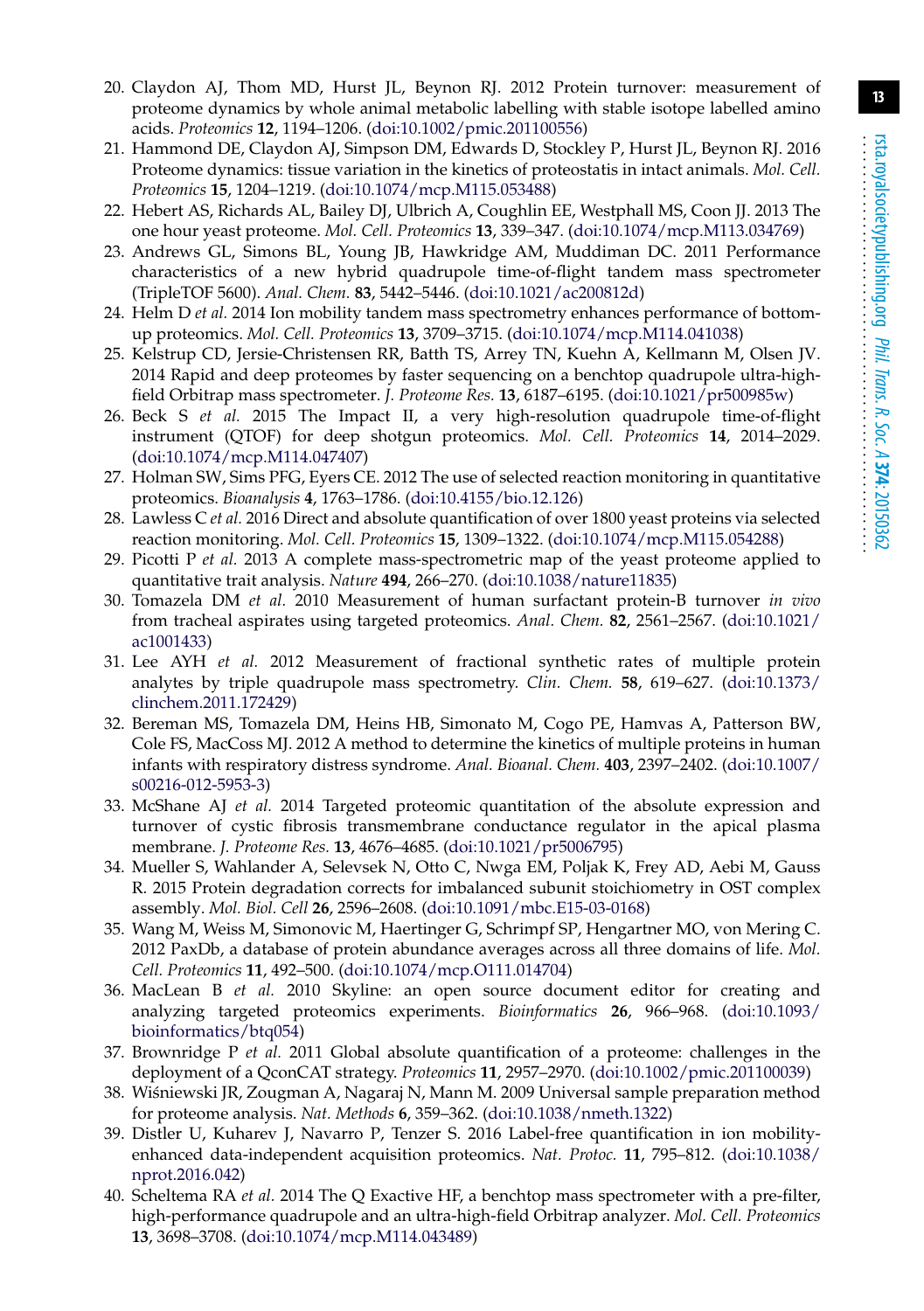- <span id="page-12-0"></span>20. Claydon AJ, Thom MD, Hurst JL, Beynon RJ. 2012 Protein turnover: measurement of proteome dynamics by whole animal metabolic labelling with stable isotope labelled amino acids. *Proteomics* **12**, 1194–1206. [\(doi:10.1002/pmic.201100556\)](http://dx.doi.org/10.1002/pmic.201100556)
- <span id="page-12-1"></span>21. Hammond DE, Claydon AJ, Simpson DM, Edwards D, Stockley P, Hurst JL, Beynon RJ. 2016 Proteome dynamics: tissue variation in the kinetics of proteostatis in intact animals. *Mol. Cell. Proteomics* **15**, 1204–1219. [\(doi:10.1074/mcp.M115.053488\)](http://dx.doi.org/10.1074/mcp.M115.053488)
- <span id="page-12-2"></span>22. Hebert AS, Richards AL, Bailey DJ, Ulbrich A, Coughlin EE, Westphall MS, Coon JJ. 2013 The one hour yeast proteome. *Mol. Cell. Proteomics* **13**, 339–347. [\(doi:10.1074/mcp.M113.034769\)](http://dx.doi.org/10.1074/mcp.M113.034769)
- 23. Andrews GL, Simons BL, Young JB, Hawkridge AM, Muddiman DC. 2011 Performance characteristics of a new hybrid quadrupole time-of-flight tandem mass spectrometer (TripleTOF 5600). *Anal. Chem.* **83**, 5442–5446. [\(doi:10.1021/ac200812d\)](http://dx.doi.org/10.1021/ac200812d)
- 24. Helm D *et al.* 2014 Ion mobility tandem mass spectrometry enhances performance of bottomup proteomics. *Mol. Cell. Proteomics* **13**, 3709–3715. [\(doi:10.1074/mcp.M114.041038\)](http://dx.doi.org/10.1074/mcp.M114.041038)
- 25. Kelstrup CD, Jersie-Christensen RR, Batth TS, Arrey TN, Kuehn A, Kellmann M, Olsen JV. 2014 Rapid and deep proteomes by faster sequencing on a benchtop quadrupole ultra-highfield Orbitrap mass spectrometer. *J. Proteome Res.* **13**, 6187–6195. [\(doi:10.1021/pr500985w\)](http://dx.doi.org/10.1021/pr500985w)
- <span id="page-12-3"></span>26. Beck S *et al.* 2015 The Impact II, a very high-resolution quadrupole time-of-flight instrument (QTOF) for deep shotgun proteomics. *Mol. Cell. Proteomics* **14**, 2014–2029. [\(doi:10.1074/mcp.M114.047407\)](http://dx.doi.org/10.1074/mcp.M114.047407)
- <span id="page-12-4"></span>27. Holman SW, Sims PFG, Eyers CE. 2012 The use of selected reaction monitoring in quantitative proteomics. *Bioanalysis* **4**, 1763–1786. [\(doi:10.4155/bio.12.126\)](http://dx.doi.org/10.4155/bio.12.126)
- <span id="page-12-5"></span>28. Lawless C *et al.* 2016 Direct and absolute quantification of over 1800 yeast proteins via selected reaction monitoring. *Mol. Cell. Proteomics* **15**, 1309–1322. [\(doi:10.1074/mcp.M115.054288\)](http://dx.doi.org/10.1074/mcp.M115.054288)
- <span id="page-12-6"></span>29. Picotti P *et al.* 2013 A complete mass-spectrometric map of the yeast proteome applied to quantitative trait analysis. *Nature* **494**, 266–270. [\(doi:10.1038/nature11835\)](http://dx.doi.org/10.1038/nature11835)
- <span id="page-12-7"></span>30. Tomazela DM *et al.* 2010 Measurement of human surfactant protein-B turnover *in vivo* from tracheal aspirates using targeted proteomics. *Anal. Chem.* **82**, 2561–2567. [\(doi:10.1021/](http://dx.doi.org/10.1021/ac1001433) [ac1001433\)](http://dx.doi.org/10.1021/ac1001433)
- 31. Lee AYH *et al.* 2012 Measurement of fractional synthetic rates of multiple protein analytes by triple quadrupole mass spectrometry. *Clin. Chem.* **58**, 619–627. [\(doi:10.1373/](http://dx.doi.org/10.1373/clinchem.2011.172429) [clinchem.2011.172429\)](http://dx.doi.org/10.1373/clinchem.2011.172429)
- 32. Bereman MS, Tomazela DM, Heins HB, Simonato M, Cogo PE, Hamvas A, Patterson BW, Cole FS, MacCoss MJ. 2012 A method to determine the kinetics of multiple proteins in human infants with respiratory distress syndrome. *Anal. Bioanal. Chem.* **403**, 2397–2402. [\(doi:10.1007/](http://dx.doi.org/10.1007/s00216-012-5953-3) [s00216-012-5953-3\)](http://dx.doi.org/10.1007/s00216-012-5953-3)
- 33. McShane AJ *et al.* 2014 Targeted proteomic quantitation of the absolute expression and turnover of cystic fibrosis transmembrane conductance regulator in the apical plasma membrane. *J. Proteome Res.* **13**, 4676–4685. [\(doi:10.1021/pr5006795\)](http://dx.doi.org/10.1021/pr5006795)
- <span id="page-12-8"></span>34. Mueller S, Wahlander A, Selevsek N, Otto C, Nwga EM, Poljak K, Frey AD, Aebi M, Gauss R. 2015 Protein degradation corrects for imbalanced subunit stoichiometry in OST complex assembly. *Mol. Biol. Cell* **26**, 2596–2608. [\(doi:10.1091/mbc.E15-03-0168\)](http://dx.doi.org/10.1091/mbc.E15-03-0168)
- <span id="page-12-9"></span>35. Wang M, Weiss M, Simonovic M, Haertinger G, Schrimpf SP, Hengartner MO, von Mering C. 2012 PaxDb, a database of protein abundance averages across all three domains of life. *Mol. Cell. Proteomics* **11**, 492–500. [\(doi:10.1074/mcp.O111.014704\)](http://dx.doi.org/10.1074/mcp.O111.014704)
- <span id="page-12-10"></span>36. MacLean B *et al.* 2010 Skyline: an open source document editor for creating and analyzing targeted proteomics experiments. *Bioinformatics* **26**, 966–968. [\(doi:10.1093/](http://dx.doi.org/10.1093/bioinformatics/btq054) [bioinformatics/btq054\)](http://dx.doi.org/10.1093/bioinformatics/btq054)
- <span id="page-12-11"></span>37. Brownridge P *et al.* 2011 Global absolute quantification of a proteome: challenges in the deployment of a QconCAT strategy. *Proteomics* **11**, 2957–2970. [\(doi:10.1002/pmic.201100039\)](http://dx.doi.org/10.1002/pmic.201100039)
- <span id="page-12-12"></span>38. Wiśniewski JR, Zougman A, Nagaraj N, Mann M. 2009 Universal sample preparation method for proteome analysis. *Nat. Methods* **6**, 359–362. [\(doi:10.1038/nmeth.1322\)](http://dx.doi.org/10.1038/nmeth.1322)
- <span id="page-12-13"></span>39. Distler U, Kuharev J, Navarro P, Tenzer S. 2016 Label-free quantification in ion mobilityenhanced data-independent acquisition proteomics. *Nat. Protoc.* **11**, 795–812. [\(doi:10.1038/](http://dx.doi.org/10.1038/nprot.2016.042) [nprot.2016.042\)](http://dx.doi.org/10.1038/nprot.2016.042)
- <span id="page-12-14"></span>40. Scheltema RA *et al.* 2014 The Q Exactive HF, a benchtop mass spectrometer with a pre-filter, high-performance quadrupole and an ultra-high-field Orbitrap analyzer. *Mol. Cell. Proteomics* **13**, 3698–3708. [\(doi:10.1074/mcp.M114.043489\)](http://dx.doi.org/10.1074/mcp.M114.043489)